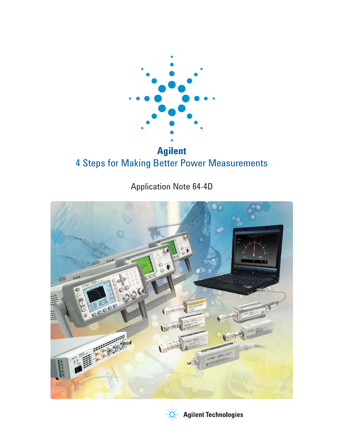

# **Agilent**  4 Steps for Making Better Power Measurements

Application Note 64-4D





**Agilent Technologies**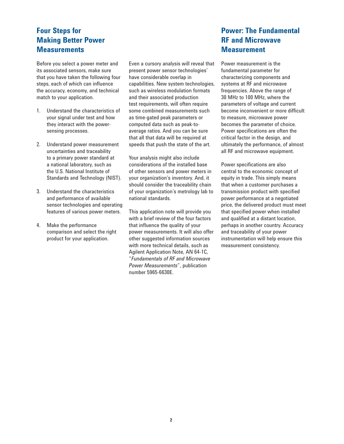# **Four Steps for Making Better Power Measurements**

Before you select a power meter and its associated sensors, make sure that you have taken the following four steps, each of which can influence the accuracy, economy, and technical match to your application.

- 1. Understand the characteristics of your signal under test and how they interact with the powersensing processes.
- 2. Understand power measurement uncertainties and traceability to a primary power standard at a national laboratory, such as the U.S. National Institute of Standards and Technology (NIST).
- 3. Understand the characteristics and performance of available sensor technologies and operating features of various power meters.
- 4. Make the performance comparison and select the right product for your application.

Even a cursory analysis will reveal that present power sensor technologies' have considerable overlap in capabilities. New system technologies, such as wireless modulation formats and their associated production test requirements, will often require some combined measurements such as time-gated peak parameters or computed data such as peak-toaverage ratios. And you can be sure that all that data will be required at speeds that push the state of the art.

Your analysis might also include considerations of the installed base of other sensors and power meters in your organization's inventory. And, it should consider the traceability chain of your organization's metrology lab to national standards.

This application note will provide you with a brief review of the four factors that influence the quality of your power measurements. It will also offer other suggested information sources with more technical details, such as Agilent Application Note, AN 64-1C, "*Fundamentals of RF and Microwave Power Measurements*", publication number 5965-6630E.

# **Power: The Fundamental RF and Microwave Measurement**

Power measurement is the fundamental parameter for characterizing components and systems at RF and microwave frequencies. Above the range of 30 MHz to 100 MHz, where the parameters of voltage and current become inconvenient or more difficult to measure, microwave power becomes the parameter of choice. Power specifications are often the critical factor in the design, and ultimately the performance, of almost all RF and microwave equipment.

Power specifications are also central to the economic concept of equity in trade. This simply means that when a customer purchases a transmission product with specified power performance at a negotiated price, the delivered product must meet that specified power when installed and qualified at a distant location, perhaps in another country. Accuracy and traceability of your power instrumentation will help ensure this measurement consistency.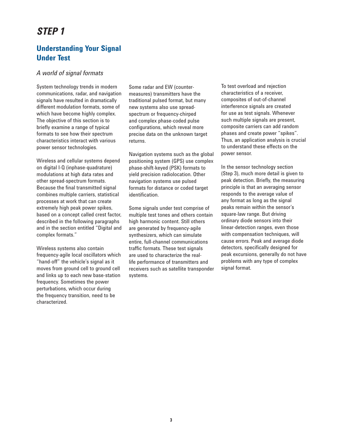# *STEP 1*

# **Understanding Your Signal Under Test**

### *A world of signal formats*

System technology trends in modern communications, radar, and navigation signals have resulted in dramatically different modulation formats, some of which have become highly complex. The objective of this section is to briefly examine a range of typical formats to see how their spectrum characteristics interact with various power sensor technologies.

Wireless and cellular systems depend on digital I-Q (inphase-quadrature) modulations at high data rates and other spread-spectrum formats. Because the final transmitted signal combines multiple carriers, statistical processes at work that can create extremely high peak power spikes, based on a concept called crest factor, described in the following paragraphs and in the section entitled "Digital and complex formats."

Wireless systems also contain frequency-agile local oscillators which "hand-off" the vehicle's signal as it moves from ground cell to ground cell and links up to each new base-station frequency. Sometimes the power perturbations, which occur during the frequency transition, need to be characterized.

Some radar and EW (countermeasures) transmitters have the traditional pulsed format, but many new systems also use spreadspectrum or frequency-chirped and complex phase-coded pulse configurations, which reveal more precise data on the unknown target returns.

Navigation systems such as the global positioning system (GPS) use complex phase-shift-keyed (PSK) formats to yield precision radiolocation. Other navigation systems use pulsed formats for distance or coded target identification.

Some signals under test comprise of multiple test tones and others contain high harmonic content. Still others are generated by frequency-agile synthesizers, which can simulate entire, full-channel communications traffic formats. These test signals are used to characterize the reallife performance of transmitters and receivers such as satellite transponder systems.

To test overload and rejection characteristics of a receiver, composites of out-of-channel interference signals are created for use as test signals. Whenever such multiple signals are present, composite carriers can add random phases and create power "spikes". Thus, an application analysis is crucial to understand these effects on the power sensor.

In the sensor technology section (Step 3), much more detail is given to peak detection. Briefly, the measuring principle is that an averaging sensor responds to the average value of any format as long as the signal peaks remain within the sensor's square-law range. But driving ordinary diode sensors into their linear-detection ranges, even those with compensation techniques, will cause errors. Peak and average diode detectors, specifically designed for peak excursions, generally do not have problems with any type of complex signal format.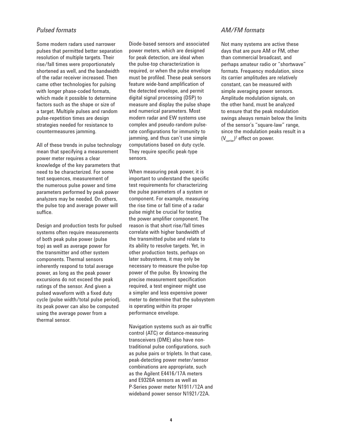### *Pulsed formats*

Some modern radars used narrower pulses that permitted better separation resolution of multiple targets. Their rise/fall times were proportionately shortened as well, and the bandwidth of the radar receiver increased. Then came other technologies for pulsing with longer phase-coded formats, which made it possible to determine factors such as the shape or size of a target. Multiple pulses and random pulse-repetition times are design strategies needed for resistance to countermeasures jamming.

All of these trends in pulse technology mean that specifying a measurement power meter requires a clear knowledge of the key parameters that need to be characterized. For some test sequences, measurement of the numerous pulse power and time parameters performed by peak power analyzers may be needed. On others, the pulse top and average power will suffice.

Design and production tests for pulsed systems often require measurements of both peak pulse power (pulse top) as well as average power for the transmitter and other system components. Thermal sensors inherently respond to total average power, as long as the peak power excursions do not exceed the peak ratings of the sensor. And given a pulsed waveform with a fixed duty cycle (pulse width/total pulse period), its peak power can also be computed using the average power from a thermal sensor.

Diode-based sensors and associated power meters, which are designed for peak detection, are ideal when the pulse-top characterization is required, or when the pulse envelope must be profiled. These peak sensors feature wide-band amplification of the detected envelope, and permit digital signal processing (DSP) to measure and display the pulse shape and numerical parameters. Most modern radar and EW systems use complex and pseudo-random pulserate configurations for immunity to jamming, and thus can't use simple computations based on duty cycle. They require specific peak-type sensors.

When measuring peak power, it is important to understand the specific test requirements for characterizing the pulse parameters of a system or component. For example, measuring the rise time or fall time of a radar pulse might be crucial for testing the power amplifier component. The reason is that short rise/fall times correlate with higher bandwidth of the transmitted pulse and relate to its ability to resolve targets. Yet, in other production tests, perhaps on later subsystems, it may only be necessary to measure the pulse-top power of the pulse. By knowing the precise measurement specification required, a test engineer might use a simpler and less expensive power meter to determine that the subsystem is operating within its proper performance envelope.

Navigation systems such as air-traffic control (ATC) or distance-measuring transceivers (DME) also have nontraditional pulse configurations, such as pulse pairs or triplets. In that case, peak-detecting power meter/sensor combinations are appropriate, such as the Agilent E4416/17A meters and E9320A sensors as well as P-Series power meter N1911/12A and wideband power sensor N1921/22A.

### *AM/FM formats*

Not many systems are active these days that are pure AM or FM, other than commercial broadcast, and perhaps amateur radio or "shortwave" formats. Frequency modulation, since its carrier amplitudes are relatively constant, can be measured with simple averaging power sensors. Amplitude modulation signals, on the other hand, must be analyzed to ensure that the peak modulation swings always remain below the limits of the sensor's "square-law" range, since the modulation peaks result in a  $(V_{\text{carrier}})^2$  effect on power.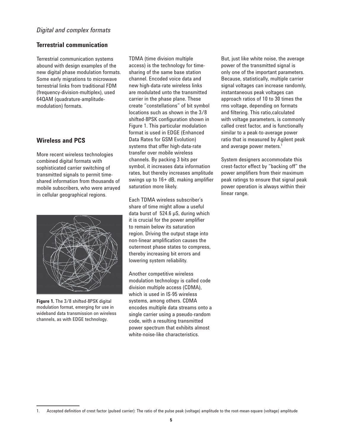### *Digital and complex formats*

### **Terrestrial communication**

Terrestrial communication systems abound with design examples of the new digital phase modulation formats. Some early migrations to microwave terrestrial links from traditional FDM (frequency-division-multiplex), used 64QAM (quadrature-amplitudemodulation) formats.

### **Wireless and PCS**

More recent wireless technologies combined digital formats with sophisticated carrier switching of transmitted signals to permit timeshared information from thousands of mobile subscribers, who were arrayed in cellular geographical regions.



**Figure 1.** The 3/8 shifted-8PSK digital modulation format, emerging for use in wideband data transmission on wireless channels, as with EDGE technology.

TDMA (time division multiple access) is the technology for timesharing of the same base station channel. Encoded voice data and new high-data-rate wireless links are modulated unto the transmitted carrier in the phase plane. These create "constellations" of bit symbol locations such as shown in the 3/8 shifted-8PSK configuration shown in Figure 1. This particular modulation format is used in EDGE (Enhanced Data Rates for GSM Evolution) systems that offer high-data-rate transfer over mobile wireless channels. By packing 3 bits per symbol, it increases data information rates, but thereby increases amplitude swings up to  $16+dB$ , making amplifier saturation more likely.

Each TDMA wireless subscriber's share of time might allow a useful data burst of 524.6 µS, during which it is crucial for the power amplifier to remain below its saturation region. Driving the output stage into non-linear amplification causes the outermost phase states to compress, thereby increasing bit errors and lowering system reliability.

Another competitive wireless modulation technology is called code division multiple access (CDMA), which is used in IS-95 wireless systems, among others. CDMA encodes multiple data streams onto a single carrier using a pseudo-random code, with a resulting transmitted power spectrum that exhibits almost white-noise-like characteristics.

But, just like white noise, the average power of the transmitted signal is only one of the important parameters. Because, statistically, multiple carrier signal voltages can increase randomly, instantaneous peak voltages can approach ratios of 10 to 30 times the rms voltage, depending on formats and filtering. This ratio, calculated with voltage parameters, is commonly called crest factor, and is functionally similar to a peak-to-average power ratio that is measured by Agilent peak and average power meters.<sup>1</sup>

System designers accommodate this crest-factor effect by "backing off" the power amplifiers from their maximum peak ratings to ensure that signal peak power operation is always within their linear range.

<sup>1.</sup> Accepted definition of crest factor (pulsed carrier): The ratio of the pulse peak (voltage) amplitude to the root-mean-square (voltage) amplitude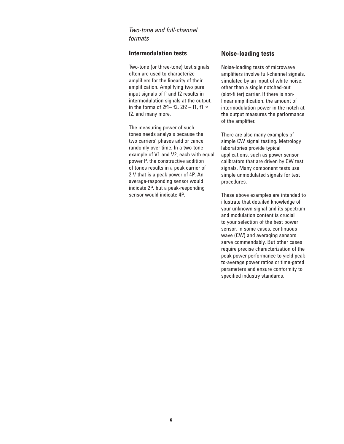### *Two-tone and full-channel formats*

### **Intermodulation tests**

Two-tone (or three-tone) test signals often are used to characterize amplifiers for the linearity of their amplification. Amplifying two pure input signals of f1and f2 results in intermodulation signals at the output, in the forms of 2f1– f2, 2f2 – f1, f1  $\times$ f2, and many more.

The measuring power of such tones needs analysis because the two carriers' phases add or cancel randomly over time. In a two-tone example of V1 and V2, each with equal power P, the constructive addition of tones results in a peak carrier of 2 V that is a peak power of 4P. An average-responding sensor would indicate 2P, but a peak-responding sensor would indicate 4P.

### **Noise-loading tests**

Noise-loading tests of microwave amplifiers involve full-channel signals, simulated by an input of white noise, other than a single notched-out (slot-filter) carrier. If there is nonlinear amplification, the amount of intermodulation power in the notch at the output measures the performance of the amplifier.

There are also many examples of simple CW signal testing. Metrology laboratories provide typical applications, such as power sensor calibrators that are driven by CW test signals. Many component tests use simple unmodulated signals for test procedures.

These above examples are intended to illustrate that detailed knowledge of your unknown signal and its spectrum and modulation content is crucial to your selection of the best power sensor. In some cases, continuous wave (CW) and averaging sensors serve commendably. But other cases require precise characterization of the peak power performance to yield peakto-average power ratios or time-gated parameters and ensure conformity to specified industry standards.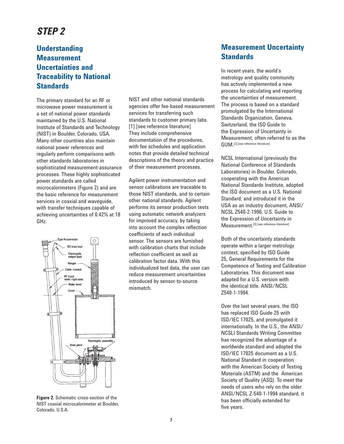# *STEP 2*

# **Understanding Measurement Uncertainties and Traceability to National Standards**

The primary standard for an RF or microwave power measurement is a set of national power standards maintained by the U.S. National Institute of Standards and Technology (NIST) in Boulder, Colorado, USA. Many other countries also maintain national power references and regularly perform comparisons with other standards laboratories in sophisticated measurement-assurance processes. These highly sophisticated power standards are called microcalorimeters (Figure 2) and are the basic reference for measurement services in coaxial and waveguide, with transfer techniques capable of achieving uncertainties of 0.42% at 18 GHz.



**Figure 2.** Schematic cross-section of the NIST coaxial microcalorimeter at Boulder, Colorado, U.S.A.

NIST and other national standards agencies offer fee-based measurement services for transferring such standards to customer primary labs. [1] [see reference literature] They include comprehensive documentation of the procedures, with fee schedules and application notes that provide detailed technical descriptions of the theory and practice of their measurement processes.

Agilent power instrumentation and sensor calibrations are traceable to those NIST standards, and to certain other national standards. Agilent performs its sensor production tests using automatic network analyzers for improved accuracy, by taking into account the complex reflection coefficients of each individual sensor. The sensors are furnished with calibration charts that include reflection coefficient as well as calibration factor data. With this individualized test data, the user can reduce measurement uncertainties introduced by sensor-to-source mismatch.

# **Measurement Uncertainty Standards**

In recent years, the world's metrology and quality community has actively implemented a new process for calculating and reporting the uncertainties of measurement. The process is based on a standard promulgated by the International Standards Organization, Geneva, Switzerland, the ISO Guide to the Expression of Uncertainty in Measurement, often referred to as the GUM.[2] [see reference literature]

NCSL International (previously the National Conference of Standards Laboratories) in Boulder, Colorado, cooperating with the American National Standards Institute, adopted the ISO document as a U.S. National Standard, and introduced it in the USA as an industry document, ANSI/ NCSL Z540-2-1996, U.S. Guide to the Expression of Uncertainty in Measurement.<sup>[3] [see reference literature]</sup>

Both of the uncertainty standards operate within a larger metrology context, specified by ISO Guide 25, General Requirements for the Competence of Testing and Calibration Laboratories. This document was adapted for a U.S. version with the identical title, ANSI/NCSL Z540-1-1994.

Over the last several years, the ISO has replaced ISO Guide 25 with ISO/IEC 17025, and promulgated it internationally. In the U.S., the ANSI/ NCSLI Standards Writing Committee has recognized the advantage of a worldwide standard and adopted the ISO/IEC 17025 document as a U.S. National Standard in cooperation with the American Society of Testing Materials (ASTM) and the American Society of Quality (ASQ). To meet the needs of users who rely on the older ANSI/NCSL Z-540-1-1994 standard, it has been officially extended for five years.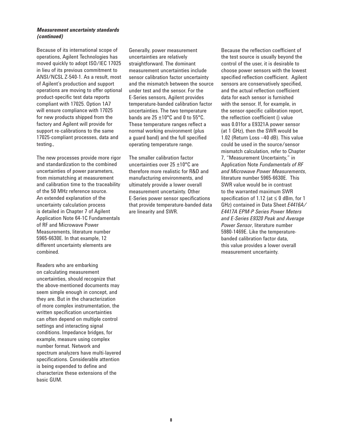#### *Measurement uncertainty standards (continued)*

Because of its international scope of operations, Agilent Technologies has moved quickly to adopt ISO/IEC 17025 in lieu of its previous commitment to ANSI/NCSL Z-540-1. As a result, most of Agilent's production and support operations are moving to offer optional product-specific test data reports compliant with 17025. Option 1A7 will ensure compliance with 17025 for new products shipped from the factory and Agilent will provide for support re-calibrations to the same 17025-compliant processes, data and testing.,

The new processes provide more rigor and standardization to the combined uncertainties of power parameters, from mismatching at measurement and calibration time to the traceability of the 50 MHz reference source. An extended explanation of the uncertainty calculation process is detailed in Chapter 7 of Agilent Application Note 64-1C Fundamentals of RF and Microwave Power Measurements, literature number 5965-6630E. In that example, 12 different uncertainty elements are combined.

Readers who are embarking on calculating measurement uncertainties, should recognize that the above-mentioned documents may seem simple enough in concept, and they are. But in the characterization of more complex instrumentation, the written specification uncertainties can often depend on multiple control settings and interacting signal conditions. Impedance bridges, for example, measure using complex number format. Network and spectrum analyzers have multi-layered specifications. Considerable attention is being expended to define and characterize these extensions of the basic GUM.

Generally, power measurement uncertainties are relatively straightforward. The dominant measurement uncertainties include sensor calibration factor uncertainty and the mismatch between the source under test and the sensor. For the E-Series sensors, Agilent provides temperature-banded calibration factor uncertainties. The two temperature bands are 25 ±10°C and 0 to 55°C. These temperature ranges reflect a normal working environment (plus a guard band) and the full specified operating temperature range.

The smaller calibration factor uncertainties over 25 ±10°C are therefore more realistic for R&D and manufacturing environments, and ultimately provide a lower overall measurement uncertainty. Other E-Series power sensor specifications that provide temperature-banded data are linearity and SWR.

Because the reflection coefficient of the test source is usually beyond the control of the user, it is desirable to choose power sensors with the lowest specified reflection coefficient. Agilent sensors are conservatively specified, and the actual reflection coefficient data for each sensor is furnished with the sensor. If, for example, in the sensor-specific calibration report, the reflection coefficient () value was 0.01for a E9321A power sensor (at 1 GHz), then the SWR would be 1.02 (Return Loss –40 dB). This value could be used in the source/sensor mismatch calculation, refer to Chapter 7, "Measurement Uncertainty," in Application Note *Fundamentals of RF and Microwave Power Measurements*, literature number 5965-6630E. This SWR value would be in contrast to the warranted maximum SWR specification of 1.12 (at  $\leq$  0 dBm, for 1 GHz) contained in Data Sheet *E4416A/ E4417A EPM-P Series Power Meters and E-Series E9320 Peak and Average Power Sensor*, literature number 5980-1469E. Like the temperaturebanded calibration factor data, this value provides a lower overall measurement uncertainty.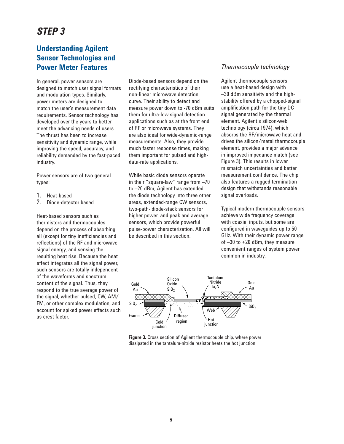# *STEP 3*

# **Understanding Agilent Sensor Technologies and Power Meter Features**

In general, power sensors are designed to match user signal formats and modulation types. Similarly, power meters are designed to match the user's measurement data requirements. Sensor technology has developed over the years to better meet the advancing needs of users. The thrust has been to increase sensitivity and dynamic range, while improving the speed, accuracy, and reliability demanded by the fast-paced industry.

Power sensors are of two general types:

- 1. Heat-based<br>2. Diode-detec
- Diode-detector based

Heat-based sensors such as thermistors and thermocouples depend on the process of absorbing all (except for tiny inefficiencies and reflections) of the RF and microwave signal energy, and sensing the resulting heat rise. Because the heat effect integrates all the signal power, such sensors are totally independent of the waveforms and spectrum content of the signal. Thus, they respond to the true average power of the signal, whether pulsed, CW, AM/ FM, or other complex modulation, and account for spiked power effects such as crest factor.

Diode-based sensors depend on the rectifying characteristics of their non-linear microwave detection curve. Their ability to detect and measure power down to -70 dBm suits them for ultra-low signal detection applications such as at the front end of RF or microwave systems. They are also ideal for wide-dynamic-range measurements. Also, they provide much faster response times, making them important for pulsed and highdata-rate applications.

While basic diode sensors operate in their "square-law" range from –70 to –20 dBm, Agilent has extended the diode technology into three other areas, extended-range CW sensors, two-path- diode-stack sensors for higher power, and peak and average sensors, which provide powerful pulse-power characterization. All will be described in this section.

### *Thermocouple technology*

Agilent thermocouple sensors use a heat-based design with –30 dBm sensitivity and the highstability offered by a chopped-signal amplification path for the tiny DC signal generated by the thermal element. Agilent's silicon-web technology (circa 1974), which absorbs the RF/microwave heat and drives the silicon/metal thermocouple element, provides a major advance in improved impedance match (see Figure 3). This results in lower mismatch uncertainties and better measurement confidence. The chip also features a rugged termination design that withstands reasonable signal overloads.

Typical modern thermocouple sensors achieve wide frequency coverage with coaxial inputs, but some are configured in waveguides up to 50 GHz. With their dynamic power range of –30 to +20 dBm, they measure convenient ranges of system power common in industry.



**Figure 3.** Cross section of Agilent thermocouple chip, where power dissipated in the tantalum-nitride resistor heats the hot junction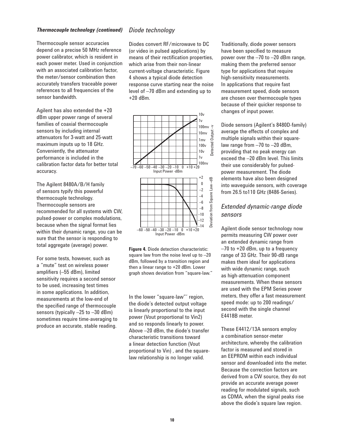#### *Thermocouple technology (continued) Diode technology*

Thermocouple sensor accuracies depend on a precise 50 MHz reference power calibrator, which is resident in each power meter. Used in conjunction with an associated calibration factor. the meter/sensor combination then accurately transfers traceable power references to all frequencies of the sensor bandwidth.

Agilent has also extended the +20 dBm upper power range of several families of coaxial thermocouple sensors by including internal attenuators for 3-watt and 25-watt maximum inputs up to 18 GHz. Conveniently, the attenuator performance is included in the calibration factor data for better total accuracy.

The Agilent 8480A/B/H family of sensors typify this powerful thermocouple technology. Thermocouple sensors are recommended for all systems with CW, pulsed-power or complex modulations, because when the signal format lies within their dynamic range, you can be sure that the sensor is responding to total aggregate (average) power.

For some tests, however, such as a "mute" test on wireless power amplifiers (-55 dBm), limited sensitivity requires a second sensor to be used, increasing test times in some applications. In addition, measurements at the low-end of the specified range of thermocouple sensors (typically –25 to –30 dBm) sometimes require time-averaging to produce an accurate, stable reading.

Diodes convert RF/microwave to DC (or video in pulsed applications) by means of their rectification properties. which arise from their non-linear current-voltage characteristic. Figure 4 shows a typical diode detection response curve starting near the noise level of –70 dBm and extending up to +20 dBm.



**Figure 4.** Diode detection characteristic: square law from the noise level up to –20 dBm, followed by a transition region and then a linear range to +20 dBm. Lower graph shows deviation from "square-law."

In the lower "square-law"' region, the diode's detected output voltage is linearly proportional to the input power (Vout proportional to Vin2) and so responds linearly to power. Above –20 dBm, the diode's transfer characteristic transitions toward a linear detection function (Vout proportional to Vin) , and the squarelaw relationship is no longer valid.

Traditionally, diode power sensors have been specified to measure power over the –70 to –20 dBm range, making them the preferred sensor type for applications that require high-sensitivity measurements. In applications that require fast measurement speed, diode sensors are chosen over thermocouple types because of their quicker response to changes of input power.

Diode sensors (Agilent's 8480D-family) average the effects of complex and multiple signals within their squarelaw range from –70 to –20 dBm, providing that no peak energy can exceed the –20 dBm level. This limits their use considerably for pulsedpower measurement. The diode elements have also been designed into waveguide sensors, with coverage from 26.5 to110 GHz (8486-Series).

### *Extended dynamic-range diode sensors*

Agilent diode sensor technology now permits measuring CW power over an extended dynamic range from –70 to +20 dBm, up to a frequency range of 33 GHz. Their 90-dB range makes them ideal for applications with wide dynamic range, such as high-attenuation component measurements. When these sensors are used with the EPM Series power meters, they offer a fast measurement speed mode: up to 200 readings/ second with the single channel E4418B meter.

These E4412/13A sensors employ a combination sensor-meter architecture, whereby the calibration factor is measured and stored in an EEPROM within each individual sensor and downloaded into the meter. Because the correction factors are derived from a CW source, they do not provide an accurate average power reading for modulated signals, such as CDMA, when the signal peaks rise above the diode's square law region.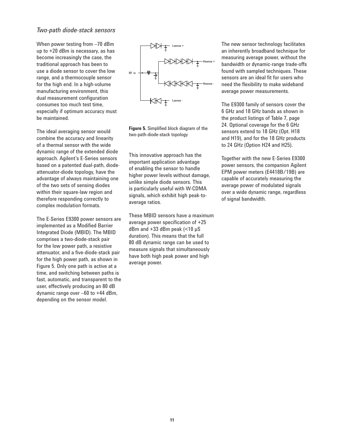#### *Two-path diode-stack sensors*

When power testing from –70 dBm up to +20 dBm is necessary, as has become increasingly the case, the traditional approach has been to use a diode sensor to cover the low range, and a thermocouple sensor for the high end. In a high-volume manufacturing environment, this dual measurement configuration consumes too much test time, especially if optimum accuracy must be maintained.

The ideal averaging sensor would combine the accuracy and linearity of a thermal sensor with the wide dynamic range of the extended diode approach. Agilent's E-Series sensors based on a patented dual-path, diodeattenuator-diode topology, have the advantage of always maintaining one of the two sets of sensing diodes within their square-law region and therefore responding correctly to complex modulation formats.

The E-Series E9300 power sensors are implemented as a Modified Barrier Integrated Diode (MBID). The MBID comprises a two-diode-stack pair for the low power path, a resistive attenuator, and a five-diode-stack pair for the high power path, as shown in Figure 5. Only one path is active at a time, and switching between paths is fast, automatic, and transparent to the user, effectively producing an 80 dB dynamic range over –60 to +44 dBm, depending on the sensor model.



**Figure 5.** Simplified block diagram of the two-path-diode-stack topology

This innovative approach has the important application advantage of enabling the sensor to handle higher power levels without damage, unlike simple diode sensors. This is particularly useful with W-CDMA signals, which exhibit high peak-toaverage ratios.

These MBID sensors have a maximum average power specification of  $+25$  $dBm$  and  $+33$  dBm peak  $\leq 10$  uS duration). This means that the full 80 dB dynamic range can be used to measure signals that simultaneously have both high peak power and high average power.

The new sensor technology facilitates an inherently broadband technique for measuring average power, without the bandwidth or dynamic-range trade-offs found with sampled techniques. These sensors are an ideal fit for users who need the flexibility to make wideband average power measurements.

The E9300 family of sensors cover the 6 GHz and 18 GHz bands as shown in the product listings of Table 7, page 24. Optional coverage for the 6 GHz sensors extend to 18 GHz (Opt. H18 and H19), and for the 18 GHz products to 24 GHz (Option H24 and H25).

Together with the new E-Series E9300 power sensors, the companion Agilent EPM power meters (E4418B/19B) are capable of accurately measuring the average power of modulated signals over a wide dynamic range, regardless of signal bandwidth.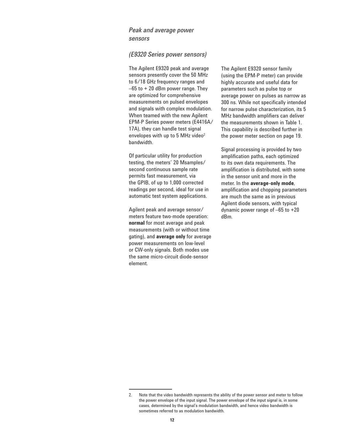### *Peak and average power sensors*

#### *(E9320 Series power sensors)*

The Agilent E9320 peak and average sensors presently cover the 50 MHz to 6/18 GHz frequency ranges and  $-65$  to  $+20$  dBm power range. They are optimized for comprehensive measurements on pulsed envelopes and signals with complex modulation. When teamed with the new Agilent EPM-P Series power meters (E4416A/ 17A), they can handle test signal envelopes with up to 5 MHz video<sup>2</sup> bandwidth.

Of particular utility for production testing, the meters' 20 Msamples/ second continuous sample rate permits fast measurement, via the GPIB, of up to 1,000 corrected readings per second, ideal for use in automatic test system applications.

Agilent peak and average sensor/ meters feature two-mode operation: **normal** for most average and peak measurements (with or without time gating), and **average only** for average power measurements on low-level or CW-only signals. Both modes use the same micro-circuit diode-sensor element.

The Agilent E9320 sensor family (using the EPM-P meter) can provide highly accurate and useful data for parameters such as pulse top or average power on pulses as narrow as 300 ns. While not specifically intended for narrow pulse characterization, its 5 MHz bandwidth amplifiers can deliver the measurements shown in Table 1. This capability is described further in the power meter section on page 19.

Signal processing is provided by two amplification paths, each optimized to its own data requirements. The amplification is distributed, with some in the sensor unit and more in the meter. In the **average-only mode**, amplification and chopping parameters are much the same as in previous Agilent diode sensors, with typical dynamic power range of  $-65$  to  $+20$ dBm.

<sup>2.</sup> Note that the video bandwidth represents the ability of the power sensor and meter to follow the power envelope of the input signal. The power envelope of the input signal is, in some cases, determined by the signal's modulation bandwidth, and hence video bandwidth is sometimes referred to as modulation bandwidth.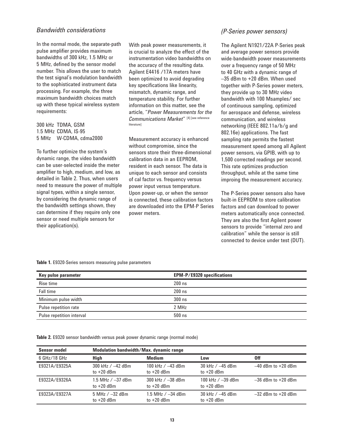### *Bandwidth considerations*

In the normal mode, the separate-path pulse amplifier provides maximum bandwidths of 300 kHz, 1.5 MHz or 5 MHz, defined by the sensor model number. This allows the user to match the test signal's modulation bandwidth to the sophisticated instrument data processing. For example, the three maximum bandwidth choices match up with these typical wireless system requirements:

300 kHz TDMA, GSM 1.5 MHz CDMA, IS-95 5 MHz W-CDMA, cdma2000

To further optimize the system's dynamic range, the video bandwidth can be user-selected inside the meter amplifier to high, medium, and low, as detailed in Table 2. Thus, when users need to measure the power of multiple signal types, within a single sensor, by considering the dynamic range of the bandwidth settings shown, they can determine if they require only one sensor or need multiple sensors for their application(s).

With peak power measurements, it is crucial to analyze the effect of the instrumentation video bandwidths on the accuracy of the resulting data. Agilent E4416 /17A meters have been optimized to avoid degrading key specifications like linearity, mismatch, dynamic range, and temperature stability. For further information on this matter, see the article, "*Power Measurements for the Communications Market*" [4] [see reference **literature**]

Measurement accuracy is enhanced without compromise, since the sensors store their three-dimensional calibration data in an EEPROM, resident in each sensor. The data is unique to each sensor and consists of cal factor vs. frequency versus power input versus temperature. Upon power-up, or when the sensor is connected, these calibration factors are downloaded into the EPM-P Series power meters.

### *(P-Series power sensors)*

The Agilent N1921/22A P-Series peak and average power sensors provide wide-bandwidth power measurements over a frequency range of 50 MHz to 40 GHz with a dynamic range of –35 dBm to +20 dBm. When used together with P-Series power meters, they provide up to 30 MHz video bandwidth with 100 Msamples/ sec of continuous sampling, optimized for aerospace and defense, wireless communication, and wireless networking (IEEE 802.11a/b/g and 802.16e) applications. The fast sampling rate permits the fastest measurement speed among all Agilent power sensors, via GPIB, with up to 1,500 corrected readings per second. This rate optimizes production throughput, while at the same time improing the measurement accuracy.

The P-Series power sensors also have built-in EEPROM to store calibration factors and can download to power meters automatically once connected. They are also the first Agilent power sensors to provide "internal zero and calibration" while the sensor is still connected to device under test (DUT).

#### **Table 1.** E9320-Series sensors measuring pulse parameters

| Key pulse parameter       | <b>EPM-P/E9320 specifications</b> |
|---------------------------|-----------------------------------|
| Rise time                 | $200$ ns                          |
| <b>Fall time</b>          | $200$ ns                          |
| Minimum pulse width       | $300$ ns                          |
| Pulse repetition rate     | 2 MHz                             |
| Pulse repetition interval | $500$ ns                          |

**Table 2.** E9320 sensor bandwidth versus peak power dynamic range (normal mode)

| <b>Sensor model</b> |                                     | Modulation bandwidth/Max. dynamic range |                                     |                        |  |  |  |  |  |  |  |  |  |  |  |
|---------------------|-------------------------------------|-----------------------------------------|-------------------------------------|------------------------|--|--|--|--|--|--|--|--|--|--|--|
| 6 GHz/18 GHz        | High                                | <b>Medium</b>                           | Low                                 | 0ff                    |  |  |  |  |  |  |  |  |  |  |  |
| E9321A/E9325A       | 300 kHz $/ -42$ dBm<br>to $+20$ dBm | 100 kHz $/ -43$ dBm<br>to $+20$ dBm     | 30 kHz $/ -45$ dBm<br>to $+20$ dBm  | $-40$ dBm to $+20$ dBm |  |  |  |  |  |  |  |  |  |  |  |
| E9322A/E9326A       | 1.5 MHz $/ -37$ dBm<br>to $+20$ dBm | 300 kHz $/ - 38$ dBm<br>to $+20$ dBm    | 100 kHz $/ -39$ dBm<br>to $+20$ dBm | $-36$ dBm to $+20$ dBm |  |  |  |  |  |  |  |  |  |  |  |
| E9323A/E9327A       | $5$ MHz $/ -32$ dBm<br>to $+20$ dBm | 1.5 MHz $/ -34$ dBm<br>to $+20$ dBm     | 30 kHz $/ -45$ dBm<br>to $+20$ dBm  | $-32$ dBm to $+20$ dBm |  |  |  |  |  |  |  |  |  |  |  |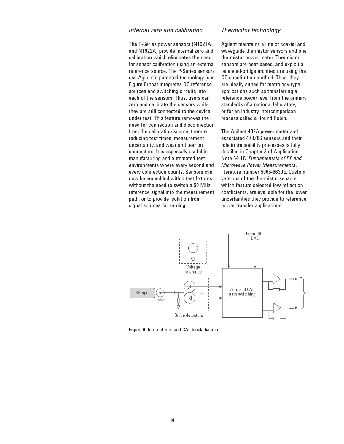#### *Internal zero and calibration*

The P-Series power sensors (N1921A and N1922A) provide internal zero and calibration which eliminates the need for sensor calibration using an external reference source. The P-Series sensors use Agilent's patented technology (see Figure 6) that integrates DC reference sources and switching circuits into each of the sensors. Thus, users can zero and calibrate the sensors while they are still connected to the device under test. This feature removes the need for connection and disconnection from the calibration source, thereby reducing test times, measurement uncertainty, and wear and tear on connectors. It is especially useful in manufacturing and automated test environments where every second and every connection counts. Sensors can now be embedded within test fixtures without the need to switch a 50 MHz reference signal into the measurement path, or to provide isolation from signal sources for zeroing.

### *Thermistor technology*

Agilent maintains a line of coaxial and waveguide thermistor sensors and one thermistor power meter. Thermistor sensors are heat-based, and exploit a balanced-bridge architecture using the DC substitution method. Thus, they are ideally suited for metrology-type applications such as transferring a reference power level from the primary standards of a national laboratory, or for an industry intercomparison process called a Round Robin.

The Agilent 432A power meter and associated 478/86 sensors and their role in traceability processes is fully detailed in Chapter 3 of Application Note 64-1C, *Fundamentals of RF and Microwave Power Measurements*, literature number 5965-6630E. Custom versions of the thermistor sensors, which feature selected low-reflection coefficients, are available for the lower uncertainties they provide to reference power transfer applications.



**Figure 6.** Internal zero and CAL block diagram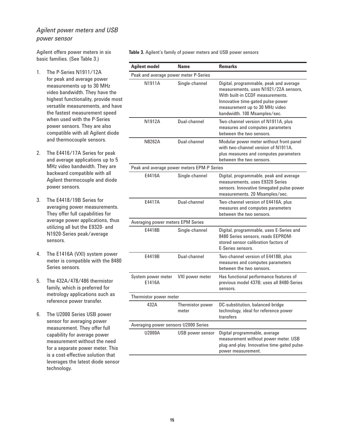### *Agilent power meters and USB power sensor*

Agilent offers power meters in six basic families. (See Table 3.)

- 1. The P-Series N1911/12A for peak and average power measurements up to 30 MHz video bandwidth. They have the highest functionality, provide most versatile measurements, and have the fastest measurement speed when used with the P-Series power sensors. They are also compatible with all Agilent diode and thermocouple sensors.
- 2. The E4416/17A Series for peak and average applications up to 5 MHz video bandwidth. They are backward compatible with all Agilent thermocouple and diode power sensors.
- 3. The E4418/19B Series for averaging power measurements. They offer full capabilities for average power applications, thus utilizing all but the E9320- and N1920-Series peak/average sensors.
- 4. The E1416A (VXI) system power meter is compatible with the 8480 Series sensors.
- 5. The 432A/478/486 thermistor family, which is preferred for metrology applications such as reference power transfer.
- 6. The U2000 Series USB power sensor for averaging power measurement. They offer full capability for average power measurement without the need for a separate power meter. This is a cost-effective solution that leverages the latest diode sensor technology.

**Table 3.** Agilent's family of power meters and USB power sensors

| <b>Agilent model</b>                       | <b>Name</b>               | <b>Remarks</b>                                                                                                                                                                                                              |
|--------------------------------------------|---------------------------|-----------------------------------------------------------------------------------------------------------------------------------------------------------------------------------------------------------------------------|
| Peak and average power meter P-Series      |                           |                                                                                                                                                                                                                             |
| N1911A                                     | Single-channel            | Digital, programmable, peak and average<br>measurements, uses N1921/22A sensors,<br>With built-in CCDF measurements.<br>Innovative time-gated pulse-power<br>measurement up to 30 MHz video<br>bandwidth. 100 Msamples/sec. |
| N1912A                                     | Dual-channel              | Two-channel version of N1911A, plus<br>measures and computes parameters<br>between the two sensors.                                                                                                                         |
| N8262A                                     | Dual-channel              | Modular power meter without front-panel<br>with two-channel version of N1911A.<br>plus measures and computes parameters<br>between the two sensors.                                                                         |
| Peak and average power meters EPM-P Series |                           |                                                                                                                                                                                                                             |
| F4416A                                     | Single-channel            | Digital, programmable, peak and average<br>measurements, uses E9320 Series<br>sensors. Innovative timegated pulse-power<br>measurements. 20 Msamples/sec.                                                                   |
| F4417A                                     | Dual-channel              | Two-channel version of E4416A, plus<br>measures and computes parameters<br>between the two sensors.                                                                                                                         |
| Averaging power meters EPM Series          |                           |                                                                                                                                                                                                                             |
| E4418B                                     | Single-channel            | Digital, programmable, uses E-Series and<br>8480 Series sensors, reads EEPROM-<br>stored sensor calibration factors of<br>E-Series sensors.                                                                                 |
| E4419B                                     | Dual-channel              | Two-channel version of E4418B, plus<br>measures and computes parameters<br>between the two sensors.                                                                                                                         |
| System power meter<br>E1416A               | VXI power meter           | Has functional performance features of<br>previous model 437B; uses all 8480-Series<br>sensors.                                                                                                                             |
| Thermistor power meter                     |                           |                                                                                                                                                                                                                             |
| 432A                                       | Thermistor power<br>meter | DC-substitution, balanced-bridge<br>technology, ideal for reference power<br>transfers                                                                                                                                      |
| Averaging power sensors U2000 Series       |                           |                                                                                                                                                                                                                             |
| U2000A                                     | USB power sensor          | Digital programmable, average<br>measurement without power meter. USB<br>plug-and-play. Innovative time-gated pulse-<br>power measurement.                                                                                  |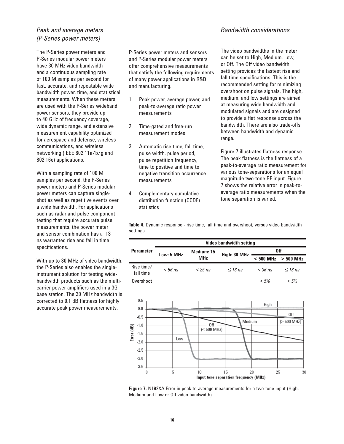### *Peak and average meters (P-Series power meters)*

The P-Series power meters and P-Series modular power meters have 30 MHz video bandwidth and a continuous sampling rate of 100 M samples per second for fast, accurate, and repeatable wide bandwidth power, time, and statistical measurements. When these meters are used with the P-Series wideband power sensors, they provide up to 40 GHz of frequency coverage, wide dynamic range, and extensive measurement capability optimized for aerospace and defense, wireless communications, and wireless networking (IEEE 802.11a/b/g and 802.16e) applications.

With a sampling rate of 100 M samples per second, the P-Series power meters and P-Series modular power meters can capture singleshot as well as repetitive events over a wide bandwidth. For applications such as radar and pulse component testing that require accurate pulse measurements, the power meter and sensor combination has a 13 ns warranted rise and fall in time specifications.

With up to 30 MHz of video bandwidth, the P-Series also enables the singleinstrument solution for testing widebandwidth products such as the multicarrier power amplifiers used in a 3G base station. The 30 MHz bandwidth is corrected to 0.1 dB flatness for highly accurate peak power measurements.

P-Series power meters and sensors and P-Series modular power meters offer comprehensive measurements that satisfy the following requirements of many power applications in R&D and manufacturing.

- 1. Peak power, average power, and peak-to-average ratio power measurements
- 2. Time-gated and free-run measurement modes
- 3. Automatic rise time, fall time, pulse width, pulse period, pulse repetition frequency, time to positive and time to negative transition occurrence measurements
- 4. Complementary cumulative distribution function (CCDF) statistics

The video bandwidths in the meter can be set to High, Medium, Low, or Off. The Off video bandwidth setting provides the fastest rise and fall time specifications. This is the recommended setting for minimizing overshoot on pulse signals. The high, medium, and low settings are aimed at measuring wide bandwidth and modulated signals and are designed to provide a flat response across the bandwidth. There are also trade-offs between bandwidth and dynamic range.

Figure 7 illustrates flatness response. The peak flatness is the flatness of a peak-to-average ratio measurement for various tone-separations for an equal magnitude two-tone RF input. Figure 7 shows the relative error in peak-toaverage ratio measurements when the tone separation is varied.

**Table 4.** Dynamic response - rise time, fall time and overshoot, versus video bandwidth settings

|                         |            |            | <b>Video bandwidth setting</b> |           |                         |  |  |  |  |
|-------------------------|------------|------------|--------------------------------|-----------|-------------------------|--|--|--|--|
| <b>Parameter</b>        |            | Medium: 15 |                                | 0ff       |                         |  |  |  |  |
|                         | Low: 5 MHz | <b>MHz</b> | High: 30 MHz                   |           | $< 500$ MHz $> 500$ MHz |  |  |  |  |
| Rise time/<br>fall time | $< 56$ ns  | $<$ 25 ns  | $\leq$ 13 ns                   | $<$ 36 ns | $<$ 1.3 ns              |  |  |  |  |
| Overshoot               |            |            |                                | $< 5\%$   | < 5%                    |  |  |  |  |



**Figure 7.** N192XA Error in peak-to-average measurements for a two-tone input (High, Medium and Low or Off video bandwidth)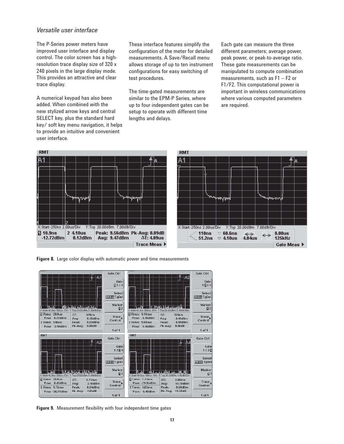### *Versatile user interface*

The P-Series power meters have improved user interface and display control. The color screen has a highresolution trace display size of 320 x 240 pixels in the large display mode. This provides an attractive and clear trace display.

A numerical keypad has also been added. When combined with the new stylized arrow keys and central SELECT key, plus the standard hard key/ soft key menu navigation, it helps to provide an intuitive and convenient user interface.

These interface features simplify the configuration of the meter for detailed measurements. A Save/Recall menu allows storage of up to ten instrument configurations for easy switching of test procedures.

The time-gated measurements are similar to the EPM-P Series, where up to four independent gates can be setup to operate with different time lengths and delays.

Each gate can measure the three different parameters; average power, peak power, or peak-to-average ratio. These gate measurements can be manipulated to compute combination measurements, such as F1 – F2 or F1/F2. This computational power is important in wireless communications where various computed parameters are required.



**Figure 8.** Large color display with automatic power and time measurements



**Figure 9.** Measurement flexibility with four independent time gates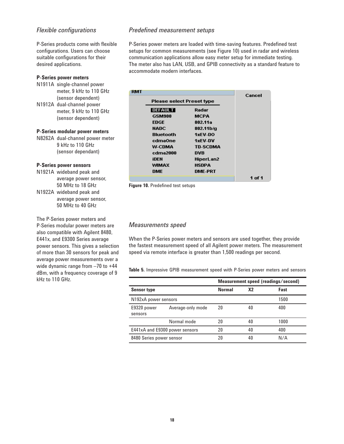### **Flexible configurations**

P-Series products come with flexible configurations. Users can choose suitable configurations for their desired applications.

#### **P-Series power meters**

- N1911A single-channel power meter, 9 kHz to 110 GHz (sensor dependent)
- N1912A dual-channel power meter, 9 kHz to 110 GHz (sensor dependent)

#### **P-Series modular power meters**

N8262A dual-channel power meter 9 kHz to 110 GHz (sensor dependant)

#### **P-Series power sensors**

- N1921A wideband peak and average power sensor, 50 MHz to 18 GHz
- N1922A wideband peak and average power sensor, 50 MHz to 40 GHz

The P-Series power meters and P-Series modular power meters are also compatible with Agilent 8480, E441x, and E9300 Series average power sensors. This gives a selection of more than 30 sensors for peak and average power measurements over a wide dynamic range from –70 to +44 dBm, with a frequency coverage of 9 kHz to 110 GHz.

#### **Predefined measurement setups**

P-Series power meters are loaded with time-saving features. Predefined test setups for common measurements (see Figure 10) used in radar and wireless communication applications allow easy meter setup for immediate testing. The meter also has LAN, USB, and GPIB connectivity as a standard feature to accommodate modern interfaces.

| <b>RMT</b> |                                  |                       | Cancel |
|------------|----------------------------------|-----------------------|--------|
|            | <b>Please select Preset type</b> |                       |        |
|            | <b>DEFAULT</b>                   | Radar                 |        |
|            | <b>GSM900</b>                    | <b>MCPA</b>           |        |
|            | <b>EDGE</b>                      | 802.11a               |        |
|            | <b>NADC</b>                      | 802.11 <sub>b/g</sub> |        |
|            | Bluetooth                        | 1xEV-DO               |        |
|            | cdmaOne                          | 1xEV-DV               |        |
|            | W-CDMA                           | <b>TD-SCDMA</b>       |        |
|            | cdma2000                         | DVB                   |        |
|            | iden                             | HiperLan2             |        |
|            | WIMAX                            | HSDPA                 |        |
|            | DME                              | <b>DME-PRT</b>        |        |
|            |                                  |                       | 1 of 1 |

**Figure 10.** Predefined test setups

#### *Measurements speed*

When the P-Series power meters and sensors are used together, they provide the fastest measurement speed of all Agilent power meters. The measurement speed via remote interface is greater than 1,500 readings per second.

**Table 5.** Impressive GPIB measurement speed with P-Series power meters and sensors

|                          |                                |               |                | Measurement speed (readings/second) |
|--------------------------|--------------------------------|---------------|----------------|-------------------------------------|
| <b>Sensor type</b>       |                                | <b>Normal</b> | X <sub>2</sub> | Fast                                |
| N192xA power sensors     |                                |               |                | 1500                                |
| E9320 power<br>sensors   | Average-only mode              | 20            | 40             | 400                                 |
|                          | Normal mode                    | 20            | 40             | 1000                                |
|                          | E441xA and E9300 power sensors | 20            | 40             | 400                                 |
| 8480 Series power sensor |                                | 20            | 40             | N/A                                 |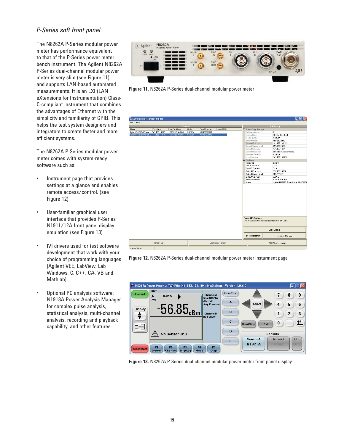### *P-Series soft front panel*

The N8262A P-Series modular power meter has performance equivalent to that of the P-Series power meter bench instrument. The Agilent N8262A P-Series dual-channel modular power meter is very slim (see Figure 11) and supports LAN-based automated measurements. It is an LXI (LAN eXtensions for Instrumentation) Class-C-compliant instrument that combines the advantages of Ethernet with the simplicity and familiarity of GPIB. This helps the test system designers and integrators to create faster and more efficient systems.

The N8262A P-Series modular power meter comes with system-ready software such as:

- Instrument page that provides settings at a glance and enables remote access/control. (see Figure 12)
- User-familiar graphical user interface that provides P-Series N1911/12A front panel display emulation (see Figure 13)
- IVI drivers used for test software development that work with your choice of programming languages (Agilent VEE, LabView, Lab Windows, C, C++, C#, VB and Mathlab)
- Optional PC analysis software: N1918A Power Analysis Manager for complex pulse analysis, statistical analysis, multi-channel analysis, recording and playback capability, and other features.



**Figure 11.** N8262A P-Series dual-channel modular power meter



**Figure 12.** N8262A P-Series dual-channel modular power meter insturment page



**Figure 13.** N8262A P-Series dual-channel modular power meter front panel display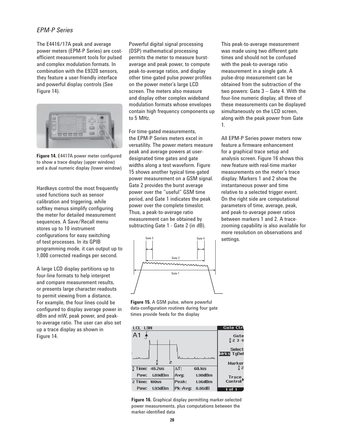### *EPM-P Series*

The E4416/17A peak and average power meters (EPM-P Series) are costefficient measurement tools for pulsed and complex modulation formats. In combination with the E9320 sensors, they feature a user-friendly interface and powerful display controls (See Figure 14).



**Figure 14.** E4417A power meter configured to show a trace display (upper window) and a dual numeric display (lower window)

Hardkeys control the most frequently used functions such as sensor calibration and triggering, while softkey menus simplify configuring the meter for detailed measurement sequences. A Save/Recall menu stores up to 10 instrument configurations for easy switching of test processes. In its GPIB programming mode, it can output up to 1,000 corrected readings per second.

A large LCD display partitions up to four-line formats to help interpret and compare measurement results, or presents large character readouts to permit viewing from a distance. For example, the four lines could be configured to display average power in dBm and mW, peak power, and peakto-average ratio. The user can also set up a trace display as shown in Figure 14.

Powerful digital signal processing (DSP) mathematical processing permits the meter to measure burstaverage and peak power, to compute peak-to-average ratios, and display other time-gated pulse power profiles on the power meter's large LCD screen. The meters also measure and display other complex wideband modulation formats whose envelopes contain high frequency components up to 5 MHz.

For time-gated measurements, the EPM-P Series meters excel in versatility. The power meters measure peak and average powers at userdesignated time gates and gate widths along a test waveform. Figure 15 shows another typical time-gated power measurement on a GSM signal. Gate 2 provides the burst average power over the "useful" GSM time period, and Gate 1 indicates the peak power over the complete timeslot. Thus, a peak-to-average ratio measurement can be obtained by subtracting Gate 1 - Gate 2 (in dB).



**Figure 15.** A GSM pulse, where powerful data-configuration routines during four gate times provide feeds for the display



**Figure 16.** Graphical display permitting marker-selected power measurements, plus computations between the marker-identified data

This peak-to-average measurement was made using two different gate times and should not be confused with the peak-to-average ratio measurement in a single gate. A pulse-drop measurement can be obtained from the subtraction of the two powers: Gate 3 – Gate 4. With the four-line numeric display, all three of these measurements can be displayed simultaneously on the LCD screen, along with the peak power from Gate 1.

All EPM-P Series power meters now feature a firmware enhancement for a graphical trace setup and analysis screen. Figure 16 shows this new feature with real-time marker measurements on the meter's trace display. Markers 1 and 2 show the instantaneous power and time relative to a selected trigger event. On the right side are computational parameters of time, average, peak, and peak-to-average power ratios between markers 1 and 2. A tracezooming capability is also available for more resolution on observations and settings.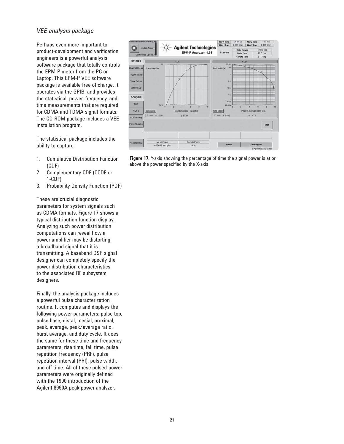### *VEE analysis package*

Perhaps even more important to product-development and verification engineers is a powerful analysis software package that totally controls the EPM-P meter from the PC or Laptop. This EPM-P VEE software package is available free of charge. It operates via the GPIB, and provides the statistical, power, frequency, and time measurements that are required for CDMA and TDMA signal formats. The CD-ROM package includes a VEE installation program.

The statistical package includes the ability to capture:

- 1. Cumulative Distribution Function (CDF)
- 2. Complementary CDF (CCDF or 1-CDF)
- 3. Probability Density Function (PDF)

These are crucial diagnostic parameters for system signals such as CDMA formats. Figure 17 shows a typical distribution function display. Analyzing such power distribution computations can reveal how a power amplifier may be distorting a broadband signal that it is transmitting. A baseband DSP signal designer can completely specify the power distribution characteristics to the associated RF subsystem designers.

Finally, the analysis package includes a powerful pulse characterization routine. It computes and displays the following power parameters: pulse top, pulse base, distal, mesial, proximal, peak, average, peak/average ratio, burst average, and duty cycle. It does the same for these time and frequency parameters: rise time, fall time, pulse repetition frequency (PRF), pulse repetition interval (PRI), pulse width, and off time. All of these pulsed-power parameters were originally defined with the 1990 introduction of the Agilent 8990A peak power analyzer.



**Figure 17.** Y-axis showing the percentage of time the signal power is at or above the power specified by the X-axis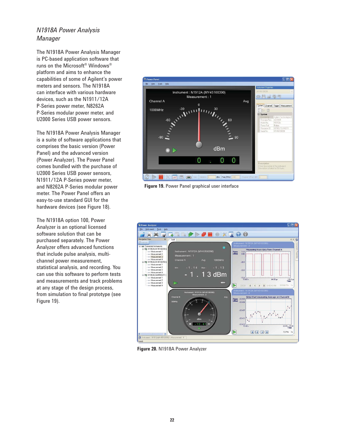## *N1918A Power Analysis Manager*

The N1918A Power Analysis Manager is PC-based application software that runs on the Microsoft® Windows® platform and aims to enhance the capabilities of some of Agilent's power meters and sensors. The N1918A can interface with various hardware devices, such as the N1911/12A P-Series power meter, N8262A P-Series modular power meter, and U2000 Series USB power sensors.

The N1918A Power Analysis Manager is a suite of software applications that comprises the basic version (Power Panel) and the advanced version (Power Analyzer). The Power Panel comes bundled with the purchase of U2000 Series USB power sensors, N1911/12A P-Series power meter, and N8262A P-Series modular power meter. The Power Panel offers an easy-to-use standard GUI for the hardware devices (see Figure 18).

The N1918A option 100, Power Analyzer is an optional licensed software solution that can be purchased separately. The Power Analyzer offers advanced functions that include pulse analysis, multichannel power measurement, statistical analysis, and recording. You can use this software to perform tests and measurements and track problems at any stage of the design process, from simulation to final prototype (see Figure 19).



**Figure 19.** Power Panel graphical user interface



**Figure 20.** N1918A Power Analyzer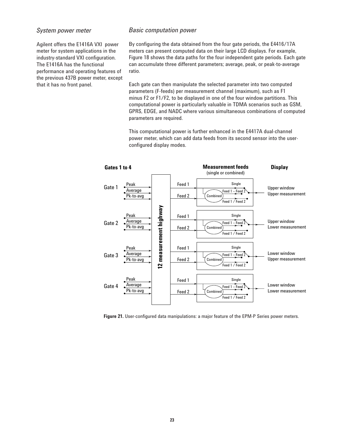### *System power meter*

Agilent offers the E1416A VXI power meter for system applications in the industry-standard VXI configuration. The E1416A has the functional performance and operating features of the previous 437B power meter, except that it has no front panel.

#### *Basic computation power*

By configuring the data obtained from the four gate periods, the E4416/17A meters can present computed data on their large LCD displays. For example, Figure 18 shows the data paths for the four independent gate periods. Each gate can accumulate three different parameters; average, peak, or peak-to-average ratio.

Each gate can then manipulate the selected parameter into two computed parameters (F-feeds) per measurement channel (maximum), such as F1 minus F2 or F1/F2, to be displayed in one of the four window partitions. This computational power is particularly valuable in TDMA scenarios such as GSM, GPRS, EDGE, and NADC where various simultaneous combinations of computed parameters are required.

This computational power is further enhanced in the E4417A dual-channel power meter, which can add data feeds from its second sensor into the userconfigured display modes.



**Figure 21.** User-configured data manipulations: a major feature of the EPM-P Series power meters.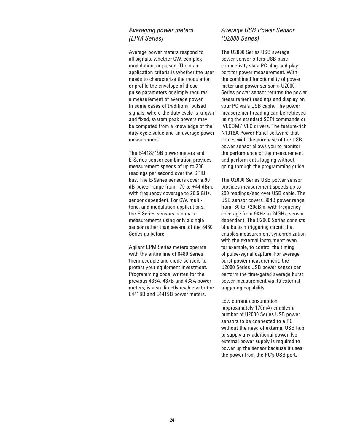### *Averaging power meters (EPM Series)*

Average power meters respond to all signals, whether CW, complex modulation, or pulsed. The main application criteria is whether the user needs to characterize the modulation or profile the envelope of those pulse parameters or simply requires a measurement of average power. In some cases of traditional pulsed signals, where the duty cycle is known and fixed, system peak powers may be computed from a knowledge of the duty-cycle value and an average power measurement.

The E4418/19B power meters and E-Series sensor combination provides measurement speeds of up to 200 readings per second over the GPIB bus. The E-Series sensors cover a 90 dB power range from –70 to +44 dBm, with frequency coverage to 26.5 GHz, sensor dependent. For CW, multitone, and modulation applications, the E-Series sensors can make measurements using only a single sensor rather than several of the 8480 Series as before.

Agilent EPM Series meters operate with the entire line of 8480 Series thermocouple and diode sensors to protect your equipment investment. Programming code, written for the previous 436A, 437B and 438A power meters, is also directly usable with the E4418B and E4419B power meters.

### *Average USB Power Sensor (U2000 Series)*

The U2000 Series USB average power sensor offers USB base connectivity via a PC plug-and-play port for power measurement. With the combined functionality of power meter and power sensor, a U2000 Series power sensor returns the power measurement readings and display on your PC via a USB cable. The power measurement reading can be retrieved using the standard SCPI commands or IVI.COM/IVI.C drivers. The feature-rich N1918A Power Panel software that comes with the purchase of the USB power sensor allows you to monitor the performance of the measurement and perform data logging without going through the programming guide.

The U2000 Series USB power sensor provides measurement speeds up to 250 readings/sec over USB cable. The USB sensor covers 80dB power range from -60 to +20dBm, with frequency coverage from 9KHz to 24GHz, sensor dependent. The U2000 Series consists of a built-in triggering circuit that enables measurement synchronization with the external instrument; even, for example, to control the timing of pulse-signal capture. For average burst power measurement, the U2000 Series USB power sensor can perform the time-gated average burst power measurement via its external triggering capability.

Low current consumption (approximately 170mA) enables a number of U2000 Series USB power sensors to be connected to a PC without the need of external USB hub to supply any additional power. No external power supply is required to power up the sensor because it uses the power from the PC's USB port.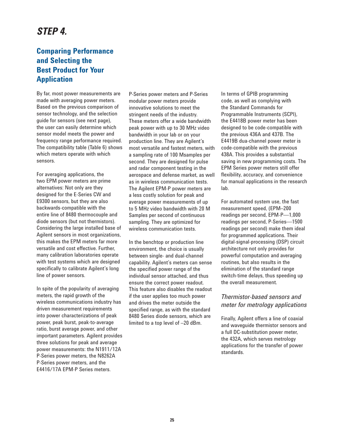# *STEP 4.*

# **Comparing Performance and Selecting the Best Product for Your Application**

By far, most power measurements are made with averaging power meters. Based on the previous comparison of sensor technology, and the selection guide for sensors (see next page), the user can easily determine which sensor model meets the power and frequency range performance required. The compatibility table (Table 6) shows which meters operate with which sensors.

For averaging applications, the two EPM power meters are prime alternatives: Not only are they designed for the E-Series CW and E9300 sensors, but they are also backwards-compatible with the entire line of 8480 thermocouple and diode sensors (but not thermistors). Considering the large installed base of Agilent sensors in most organizations, this makes the EPM meters far more versatile and cost effective. Further, many calibration laboratories operate with test systems which are designed specifically to calibrate Agilent's long line of power sensors.

In spite of the popularity of averaging meters, the rapid growth of the wireless communications industry has driven measurement requirements into power characterizations of peak power, peak burst, peak-to-average ratio, burst average power, and other important parameters. Agilent provides three solutions for peak and average power measurements: the N1911/12A P-Series power meters, the N8262A P-Series power meters, and the E4416/17A EPM-P Series meters.

P-Series power meters and P-Series modular power meters provide innovative solutions to meet the stringent needs of the industry. These meters offer a wide bandwidth peak power with up to 30 MHz video bandwidth in your lab or on your production line. They are Agilent's most versatile and fastest meters, with a sampling rate of 100 Msamples per second. They are designed for pulse and radar component testing in the aerospace and defense market, as well as in wireless communication tests. The Agilent EPM-P power meters are a less costly solution for peak and average power measurements of up to 5 MHz video bandwidth with 20 M Samples per second of continuous sampling. They are optimized for wireless communication tests.

In the benchtop or production line environment, the choice is usually between single- and dual-channel capability. Agilent's meters can sense the specified power range of the individual sensor attached, and thus ensure the correct power readout. This feature also disables the readout if the user applies too much power and drives the meter outside the specified range, as with the standard 8480 Series diode sensors, which are limited to a top level of –20 dBm.

In terms of GPIB programming code, as well as complying with the Standard Commands for Programmable Instruments (SCPI), the E4418B power meter has been designed to be code-compatible with the previous 436A and 437B. The E4419B dua-channel power meter is code-compatible with the previous 438A. This provides a substantial saving in new programming costs. The EPM Series power meters still offer flexibility, accuracy, and convenience for manual applications in the research lab.

For automated system use, the fast measurement speed, (EPM–200 readings per second, EPM-P—1,000 readings per second, P-Series—1500 readings per second) make them ideal for programmed applications. Their digital-signal-processing (DSP) circuit architecture not only provides for powerful computation and averaging routines, but also results in the elimination of the standard range switch-time delays, thus speeding up the overall measurement.

### *Thermistor-based sensors and meter for metrology applications*

Finally, Agilent offers a line of coaxial and waveguide thermistor sensors and a full DC-substitution power meter, the 432A, which serves metrology applications for the transfer of power standards.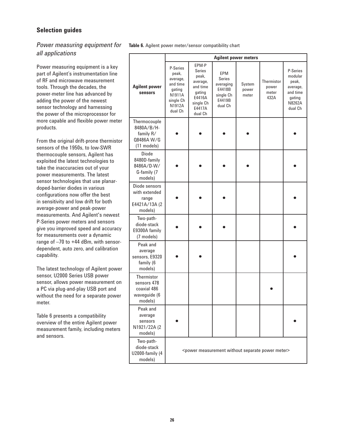### **Selection guides**

### *Power measuring equipment for all applications*

Power measuring equipment is a key part of Agilent's instrumentation line of RF and microwave measurement tools. Through the decades, the power-meter line has advanced by adding the power of the newest sensor technology and harnessing the power of the microprocessor for more capable and flexible power meter products.

From the original drift-prone thermistor sensors of the 1950s, to low-SWR thermocouple sensors, Agilent has exploited the latest technologies to take the inaccuracies out of your power measurements. The latest sensor technologies that use planardoped-barrier diodes in various configurations now offer the best in sensitivity and low drift for both average-power and peak-power measurements. And Agilent's newest P-Series power meters and sensors give you improved speed and accuracy for measurements over a dynamic range of –70 to +44 dBm, with sensordependent, auto zero, and calibration capability.

The latest technology of Agilent power sensor, U2000 Series USB power sensor, allows power measurement on a PC via plug-and-play USB port and without the need for a separate power meter.

Table 6 presents a compatibility overview of the entire Agilent power measurement family, including meters and sensors.

**Table 6.** Agilent power meter/sensor compatibility chart

|                                                                      |                                                                                                 |                                                                                                        |                                                                        | <b>Agilent power meters</b> |                                                                         |                                                                                     |
|----------------------------------------------------------------------|-------------------------------------------------------------------------------------------------|--------------------------------------------------------------------------------------------------------|------------------------------------------------------------------------|-----------------------------|-------------------------------------------------------------------------|-------------------------------------------------------------------------------------|
| <b>Agilent power</b><br><b>sensors</b>                               | P-Series<br>peak,<br>average,<br>and time<br>gating<br>N1911A<br>single Ch<br>N1912A<br>dual Ch | EPM-P<br>Series<br>peak,<br>average,<br>and time<br>gating<br>E4416A<br>single Ch<br>E4417A<br>dual Ch | EPM<br>Series<br>averaging<br>E4418B<br>single Ch<br>E4419B<br>dual Ch | System<br>power<br>meter    | Thermistor<br>power<br>meter<br>432A                                    | P-Series<br>modular<br>peak,<br>average,<br>and time<br>gating<br>N8262A<br>dual Ch |
| Thermocouple<br>8480A/B/H-<br>family R/<br>08486A W/G<br>(11 models) |                                                                                                 |                                                                                                        |                                                                        |                             |                                                                         |                                                                                     |
| <b>Diode</b><br>8480D-family<br>8486A/D-W/<br>G-family (7<br>models) |                                                                                                 |                                                                                                        |                                                                        |                             |                                                                         |                                                                                     |
| Diode sensors<br>with extended<br>range<br>E4421A/13A (2<br>models)  |                                                                                                 |                                                                                                        |                                                                        |                             |                                                                         |                                                                                     |
| Two-path-<br>diode-stack<br>E9300A family<br>(7 models)              |                                                                                                 |                                                                                                        |                                                                        |                             |                                                                         |                                                                                     |
| Peak and<br>average<br>sensors, E9320<br>family (6<br>models)        |                                                                                                 |                                                                                                        |                                                                        |                             |                                                                         |                                                                                     |
| Thermistor<br>sensors 478<br>coaxial 486<br>waveguide (6<br>models)  |                                                                                                 |                                                                                                        |                                                                        |                             |                                                                         |                                                                                     |
| Peak and<br>average<br>sensors<br>N1921/22A (2<br>models)            |                                                                                                 |                                                                                                        |                                                                        |                             |                                                                         |                                                                                     |
| Two-path-<br>diode-stack<br><b>U2000-family (4</b><br>models)        |                                                                                                 |                                                                                                        |                                                                        |                             | <power measurement="" meter="" power="" separate="" without=""></power> |                                                                                     |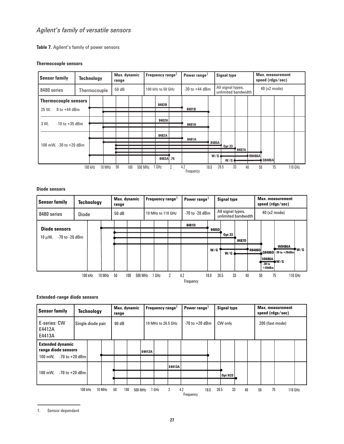### *Agilent's family of versatile sensors*

**Table 7.** Agilent's family of power sensors

#### **Thermocouple sensors**



#### **Diode sensors**

| <b>Sensor family</b>           | Max. dynamic<br><b>Technology</b><br>range |         |        |       | Frequency range <sup>1</sup> |                   |       | Power range<br><b>Signal type</b> |           |                                          | <b>Max.</b> measurement<br>speed (rdgs/sec) |    |               |                               |                       |         |
|--------------------------------|--------------------------------------------|---------|--------|-------|------------------------------|-------------------|-------|-----------------------------------|-----------|------------------------------------------|---------------------------------------------|----|---------------|-------------------------------|-----------------------|---------|
| 8480 series                    | <b>Diode</b>                               |         |        | 50 dB |                              | 10 MHz to 110 GHz |       | -70 to -20 dBm                    |           | All signal types,<br>unlimited bandwidth |                                             |    | 40 (x2 mode)  |                               |                       |         |
|                                |                                            |         |        |       |                              |                   |       |                                   | 8481D     |                                          |                                             |    |               |                               |                       |         |
| <b>Diode sensors</b>           |                                            |         |        |       |                              |                   |       |                                   |           | 8485D                                    | <b>Opt 33</b>                               |    |               |                               |                       |         |
| -70 to -20 dBm<br>$10 \mu W$ , |                                            |         |        |       |                              |                   |       |                                   |           |                                          | 8487D                                       |    |               |                               |                       |         |
|                                |                                            |         |        |       |                              |                   |       |                                   |           | W/G                                      |                                             |    | <b>R8486D</b> | <b>W8486A</b>                 |                       | W/G     |
|                                |                                            |         |        |       |                              |                   |       |                                   |           |                                          | W/G                                         |    |               |                               | Q8486D - 30 to +20dBm |         |
|                                |                                            |         |        |       |                              |                   |       |                                   |           |                                          |                                             |    |               | <b>V8486A</b> W/G<br>$-30$ to |                       |         |
|                                |                                            |         |        |       |                              |                   |       |                                   |           |                                          |                                             |    |               | $+20$ dBm                     |                       |         |
|                                |                                            | 100 kHz | 10 MHz | 50    | 100                          | 500 MHz           | 1 GHz | $\overline{2}$                    | 4.2       | 18.0                                     | 26.5                                        | 33 | 40            | 50                            | 75                    | 110 GHz |
|                                |                                            |         |        |       |                              |                   |       |                                   | Frequency |                                          |                                             |    |               |                               |                       |         |

#### **Extended-range diode sensors**

| <b>Sensor family</b>                                                            |         | <b>Technology</b> |        | Max. dynamic<br>range |         |        | Frequency range    |        | Power range <sup>1</sup> |      | <b>Signal type</b> |    |  | <b>Max.</b> measurement<br>speed (rdgs/sec) |  |         |  |
|---------------------------------------------------------------------------------|---------|-------------------|--------|-----------------------|---------|--------|--------------------|--------|--------------------------|------|--------------------|----|--|---------------------------------------------|--|---------|--|
| E-series: CW<br>E4412A<br>E4413A                                                |         | Single diode pair |        | 90 dB                 |         |        | 10 MHz to 26.5 GHz |        | $-70$ to $+20$ dBm       |      | CW only            |    |  | 200 (fast mode)                             |  |         |  |
| <b>Extended dynamic</b><br>range diode sensors<br>100 mW.<br>$-70$ to $+20$ dBm |         |                   |        |                       |         | E4412A |                    |        |                          |      |                    |    |  |                                             |  |         |  |
| $-70$ to $+20$ dBm<br>100 mW.                                                   |         |                   |        |                       |         |        |                    | E4413A |                          |      | <b>Opt H33</b>     |    |  |                                             |  |         |  |
|                                                                                 | 100 kHz |                   | 10 MHz | 50<br>100             | 500 MHz |        | 1 GHz              | 2      | 4.2<br>Frequency         | 18.0 | 26.5<br>33         | 40 |  | 75<br>50                                    |  | 110 GHz |  |

<sup>1.</sup> Sensor dependant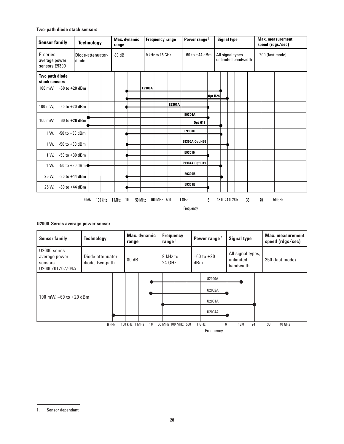#### **Two-path diode stack sensors**

| <b>Sensor family</b>                                      | <b>Technology</b>          | range       | Frequency range <sup>1</sup><br>Power range <sup>1</sup><br>Max. dynamic<br><b>Signal type</b> |        |                                       |        |                | <b>Max.</b> measurement<br>speed (rdgs/sec) |                     |  |                 |    |        |  |
|-----------------------------------------------------------|----------------------------|-------------|------------------------------------------------------------------------------------------------|--------|---------------------------------------|--------|----------------|---------------------------------------------|---------------------|--|-----------------|----|--------|--|
| E-series:<br>average power<br>sensors E9300               | Diode-attenuator-<br>diode | 80 dB       |                                                                                                |        | 9 kHz to 18 GHz<br>$-60$ to $+44$ dBm |        |                | All signal types                            | unlimited bandwidth |  | 200 (fast mode) |    |        |  |
| Two path diode<br>stack sensors<br>100 mW. -60 to +20 dBm |                            |             |                                                                                                | E9300A |                                       |        |                |                                             |                     |  |                 |    |        |  |
|                                                           |                            |             |                                                                                                |        |                                       |        |                | <b>Opt H24</b>                              |                     |  |                 |    |        |  |
| 100 mW.<br>$-60$ to $+20$ dBm                             |                            |             |                                                                                                |        |                                       | E9301A |                |                                             |                     |  |                 |    |        |  |
|                                                           |                            |             |                                                                                                |        |                                       |        | E9304A         |                                             |                     |  |                 |    |        |  |
| $-60$ to $+20$ dBm<br>100 mW,                             |                            |             |                                                                                                |        |                                       |        | Opt H18        |                                             |                     |  |                 |    |        |  |
| $-50$ to $+30$ dBm<br>1 W.                                |                            |             |                                                                                                |        |                                       |        | <b>E9300H</b>  |                                             |                     |  |                 |    |        |  |
| $-50$ to $+30$ dBm<br>1 W.                                |                            |             |                                                                                                |        |                                       |        | E9300A Opt H25 |                                             |                     |  |                 |    |        |  |
| $-50$ to $+30$ dBm<br>1 W.                                |                            |             |                                                                                                |        |                                       |        | E9301H         |                                             |                     |  |                 |    |        |  |
|                                                           |                            |             |                                                                                                |        |                                       |        | E9304A Opt H19 |                                             |                     |  |                 |    |        |  |
| $-50$ to $+30$ dBm<br>1 W,                                |                            |             |                                                                                                |        |                                       |        |                |                                             |                     |  |                 |    |        |  |
| 25 W.<br>$-30$ to $+44$ dBm                               |                            |             |                                                                                                |        |                                       |        | E9300B         |                                             |                     |  |                 |    |        |  |
| 25 W,<br>$-30$ to $+44$ dBm                               |                            |             |                                                                                                |        |                                       |        | E9301B         |                                             |                     |  |                 |    |        |  |
|                                                           | 9 kHz<br>100 kHz           | 1 MHz<br>10 | 50 MHz                                                                                         |        | 100 MHz 500                           |        | 1 GHz          | 6                                           | 18.0 24.0 26.5      |  | 33              | 40 | 50 GHz |  |
|                                                           |                            |             |                                                                                                |        |                                       |        |                |                                             |                     |  |                 |    |        |  |
|                                                           |                            |             |                                                                                                |        |                                       |        | Frequency      |                                             |                     |  |                 |    |        |  |

#### **U2000-Series average power sensor**

| <b>Sensor family</b>                                        | <b>Technology</b>                    |  | range         | Max. dynamic |                    | <b>Frequency</b><br>range $1$ |                    | Power range <sup>1</sup> |                       | <b>Signal type</b> |                                             |  | <b>Max. measurement</b><br>speed (rdgs/sec) |                 |  |
|-------------------------------------------------------------|--------------------------------------|--|---------------|--------------|--------------------|-------------------------------|--------------------|--------------------------|-----------------------|--------------------|---------------------------------------------|--|---------------------------------------------|-----------------|--|
| U2000-series<br>average power<br>sensors<br>U2000/01/02/04A | Diode-attenuator-<br>diode, two-path |  | 80dB          |              | 9 kHz to<br>24 GHz |                               |                    |                          | $-60$ to $+20$<br>dBm |                    | All signal types,<br>unlimited<br>bandwidth |  |                                             | 250 (fast mode) |  |
|                                                             |                                      |  |               |              |                    |                               |                    |                          | U2000A                |                    |                                             |  |                                             |                 |  |
|                                                             |                                      |  |               |              |                    |                               |                    |                          | U2002A                |                    |                                             |  |                                             |                 |  |
| 100 mW, $-60$ to $+20$ dBm                                  |                                      |  |               |              |                    |                               |                    |                          | U2001A                |                    |                                             |  |                                             |                 |  |
|                                                             |                                      |  |               |              |                    |                               |                    |                          | U2004A                |                    |                                             |  |                                             |                 |  |
|                                                             |                                      |  |               |              |                    |                               |                    |                          |                       |                    |                                             |  |                                             |                 |  |
|                                                             | 9 kHz                                |  | 100 kHz 1 MHz | 10           |                    |                               | 50 MHz 100 MHz 500 |                          | 1 GHz                 | 6                  | 18.0<br>24                                  |  | 33                                          | 40 GHz          |  |
| Frequency                                                   |                                      |  |               |              |                    |                               |                    |                          |                       |                    |                                             |  |                                             |                 |  |

<sup>1.</sup> Sensor dependant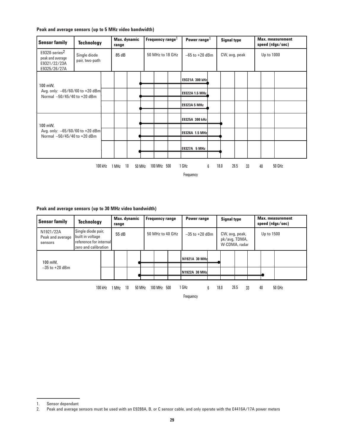#### **Peak and average sensors (up to 5 MHz video bandwidth)**

| <b>Sensor family</b>                                                          | <b>Technology</b>              |       | Max. dynamic<br>range |        | Frequency range <sup>1</sup> |             | Power range <sup>1</sup> |                    | <b>Signal type</b> |      |            | <b>Max.</b> measurement<br>speed (rdgs/sec) |    |        |  |
|-------------------------------------------------------------------------------|--------------------------------|-------|-----------------------|--------|------------------------------|-------------|--------------------------|--------------------|--------------------|------|------------|---------------------------------------------|----|--------|--|
| E9320-series <sup>2</sup><br>peak and average<br>E9321/22/23A<br>E9325/26/27A | Single diode<br>pair, two-path | 85 dB |                       |        | 50 MHz to 18 GHz             |             | $-65$ to $+20$ dBm       |                    | CW, avg, peak      |      |            | Up to 1000                                  |    |        |  |
| 100 mW,                                                                       |                                |       |                       |        |                              |             |                          | E9321A 300 kHz     |                    |      |            |                                             |    |        |  |
| Avg. only: $-65/60/60$ to $+20$ dBm<br>Normal -50/45/40 to +20 dBm            |                                |       |                       |        |                              |             |                          | E9322A 1.5 MHz     |                    |      |            |                                             |    |        |  |
|                                                                               |                                |       |                       |        |                              |             |                          | E9323A 5 MHz       |                    |      |            |                                             |    |        |  |
|                                                                               |                                |       |                       |        |                              |             |                          | E9325A 300 kHz     |                    |      |            |                                             |    |        |  |
| 100 mW,<br>Avg. only: $-65/60/60$ to $+20$ dBm<br>Normal -50/45/40 to +20 dBm |                                |       |                       |        |                              |             |                          | E9326A 1.5 MHz     |                    |      |            |                                             |    |        |  |
|                                                                               |                                |       |                       |        |                              |             |                          | E9327A 5 MHz       |                    |      |            |                                             |    |        |  |
|                                                                               | 100 kHz                        | 1 MHz | 10                    | 50 MHz |                              | 100 MHz 500 |                          | 1 GHz<br>Frequency | 6                  | 18.0 | 26.5<br>33 |                                             | 40 | 50 GHz |  |

#### **Peak and average sensors (up to 30 MHz video bandwidth)**

| <b>Sensor family</b>                                                                                 | <b>Technology</b>                                                                        |  | Max. dynamic<br>range |  | <b>Frequency range</b> |  | Power range        |               | <b>Signal type</b>                               |  | <b>Max.</b> measurement<br>speed (rdgs/sec) |  |  |
|------------------------------------------------------------------------------------------------------|------------------------------------------------------------------------------------------|--|-----------------------|--|------------------------|--|--------------------|---------------|--------------------------------------------------|--|---------------------------------------------|--|--|
| N1921/22A<br>Peak and average<br>sensors                                                             | Single diode pair,<br>built in voltage<br>reference for internal<br>zero and calibration |  | 55 dB                 |  | 50 MHz to 40 GHz       |  | $-35$ to $+20$ dBm |               | CW, avg, peak,<br>pk/avg, TDMA,<br>W-CDMA, radar |  | Up to 1500                                  |  |  |
| 100 mW.                                                                                              |                                                                                          |  |                       |  |                        |  |                    | N1921A 30 MHz |                                                  |  |                                             |  |  |
| $-35$ to $+20$ dBm                                                                                   |                                                                                          |  |                       |  |                        |  |                    | N1922A 30 MHz |                                                  |  |                                             |  |  |
| 26.5<br>1 GHz<br>50 GHz<br>18.0<br>33<br>40<br>10<br>100 MHz<br>MHz<br>500<br>6<br>50 MHz<br>100 kHz |                                                                                          |  |                       |  |                        |  |                    |               |                                                  |  |                                             |  |  |

Frequency

<sup>1.</sup> Sensor dependant<br>2. Peak and average s 2. Peak and average sensors must be used with an E9288A, B, or C sensor cable, and only operate with the E4416A/17A power meters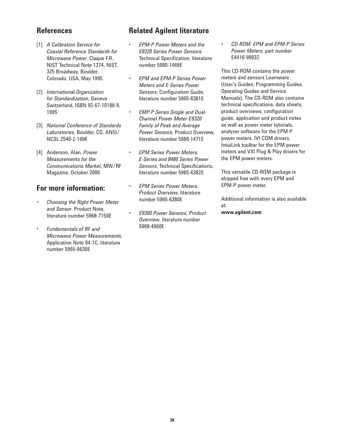## **References**

- [1] *A Calibration Service for Coaxial Reference Standards for Microwave Power*, Claque F.R., NIST Technical Note 1374, NIST, 325 Broadway, Boulder, Colorado, USA, May 1995
- [2] *International Organization for Standardization*, Geneva Switzerland, ISBN 92-67-10188-9, 1995
- [3] *National Conference of Standards Laboratories*, Boulder, CO, ANSI/ NCSL Z540-2-1996
- [4] Anderson, Alan, *Power Measurements for the Communications Market*, MW/RF Magazine, October 2000

# **For more information:**

- *Choosing the Right Power Meter and Sensor*, Product Note, literature number 5968-7150E
- *Fundamentals of RF and Microwave Power Measurements*, Application Note 64-1C, literature number 5965-6630E

# **Related Agilent literature**

- *EPM-P Power Meters and the E9320 Series Power Sensors*, Technical Specification, literature number 5980-1469E
- *EPM and EPM-P Series Power Meters and E-Series Power Sensors*, Configuration Guide, literature number 5965-6381E
- *EMP-P Series Single and Dual-Channel Power Meter-E9320 Family of Peak and Average Power Sensors*, Product Overview, literature number 5980-1471E
- *EPM Series Power Meters, E-Series and 8480 Series Power Sensors*, Technical Specifications, literature number 5965-6382E
- *EPM Series Power Meters, Product Overview*, literature number 5965-6380E
- *E9300 Power Sensors, Product Overview*, literature number 5968-4960E

• *CD-ROM: EPM and EPM-P Series Power Meters*, part number E4416-90032

This CD-ROM contains the power meters and sensors Learnware (User's Guides, Programming Guides, Operating Guides and Service Manuals). The CD-ROM also contains technical specifications, data sheets, product overviews, configuration guide, application and product notes as well as power meter tutorials, analyzer software for the EPM-P power meters, IVI-COM drivers, IntuiLink toolbar for the EPM power meters and VXI Plug & Play drivers for the EPM power meters.

This versatile CD-ROM package is shipped free with every EPM and EPM-P power meter.

Additional information is also available at: **www.agilent.com**